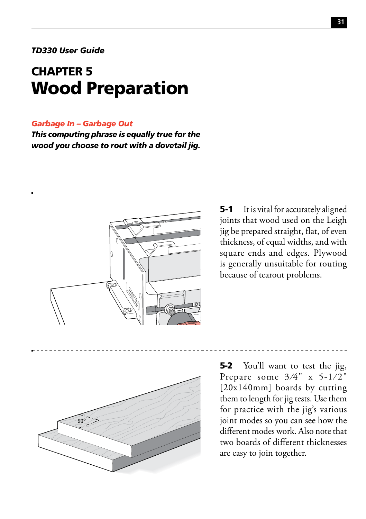## *TD330 User Guide*

## CHAPTER 5 Wood Preparation

## *Garbage In – Garbage Out*

*This computing phrase is equally true for the wood you choose to rout with a dovetail jig.*



**5-1** It is vital for accurately aligned joints that wood used on the Leigh jig be prepared straight, flat, of even thickness, of equal widths, and with square ends and edges. Plywood is generally unsuitable for routing because of tearout problems.



5-2 You'll want to test the jig, Prepare some  $3/4$ " x  $5-1/2$ " [20x140mm] boards by cutting them to length for jig tests. Use them for practice with the jig's various joint modes so you can see how the different modes work. Also note that two boards of different thicknesses are easy to join together.